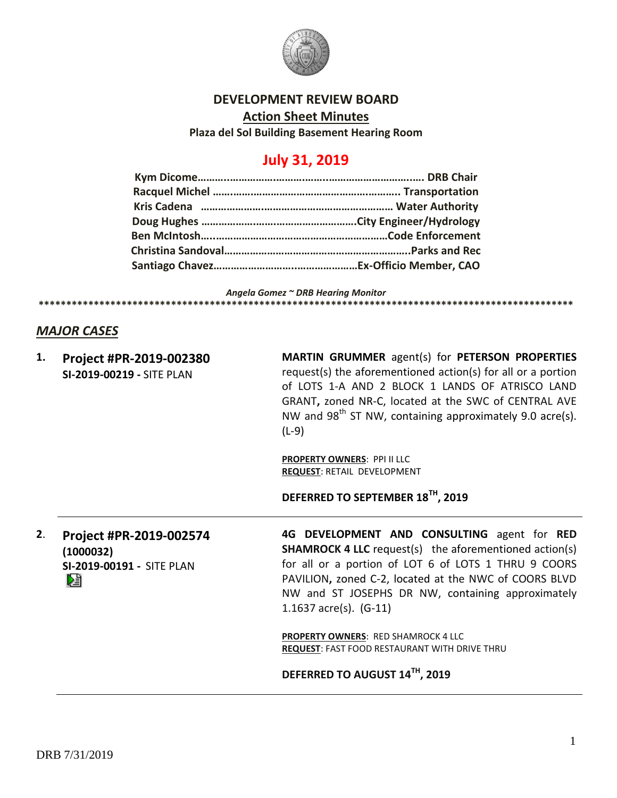

### **DEVELOPMENT REVIEW BOARD**

**Action Sheet Minutes**

**Plaza del Sol Building Basement Hearing Room**

# **July 31, 2019**

*Angela Gomez ~ DRB Hearing Monitor*

### *MAJOR CASES*

**1. Project #PR-2019-002380 SI-2019-00219 -** SITE PLAN

**MARTIN GRUMMER** agent(s) for **PETERSON PROPERTIES** request(s) the aforementioned action(s) for all or a portion of LOTS 1-A AND 2 BLOCK 1 LANDS OF ATRISCO LAND GRANT**,** zoned NR-C, located at the SWC of CENTRAL AVE NW and  $98<sup>th</sup>$  ST NW, containing approximately 9.0 acre(s). (L-9)

**PROPERTY OWNERS**: PPI II LLC **REQUEST**: RETAIL DEVELOPMENT

**\*\*\*\*\*\*\*\*\*\*\*\*\*\*\*\*\*\*\*\*\*\*\*\*\*\*\*\*\*\*\*\*\*\*\*\*\*\*\*\*\*\*\*\*\*\*\*\*\*\*\*\*\*\*\*\*\*\*\*\*\*\*\*\*\*\*\*\*\*\*\*\*\*\*\*\*\*\*\*\*\*\*\*\*\*\*\*\*\*\*\*\*\*\*\*\*\***

**DEFERRED TO SEPTEMBER 18TH, 2019**

**2**. **Project #PR-2019-002574 (1000032) SI-2019-00191 -** SITE PLAN

**4G DEVELOPMENT AND CONSULTING** agent for **RED SHAMROCK 4 LLC** request(s) the aforementioned action(s) for all or a portion of LOT 6 of LOTS 1 THRU 9 COORS PAVILION**,** zoned C-2, located at the NWC of COORS BLVD NW and ST JOSEPHS DR NW, containing approximately 1.1637 acre(s). (G-11)

**PROPERTY OWNERS**: RED SHAMROCK 4 LLC **REQUEST**: FAST FOOD RESTAURANT WITH DRIVE THRU

**DEFERRED TO AUGUST 14TH, 2019**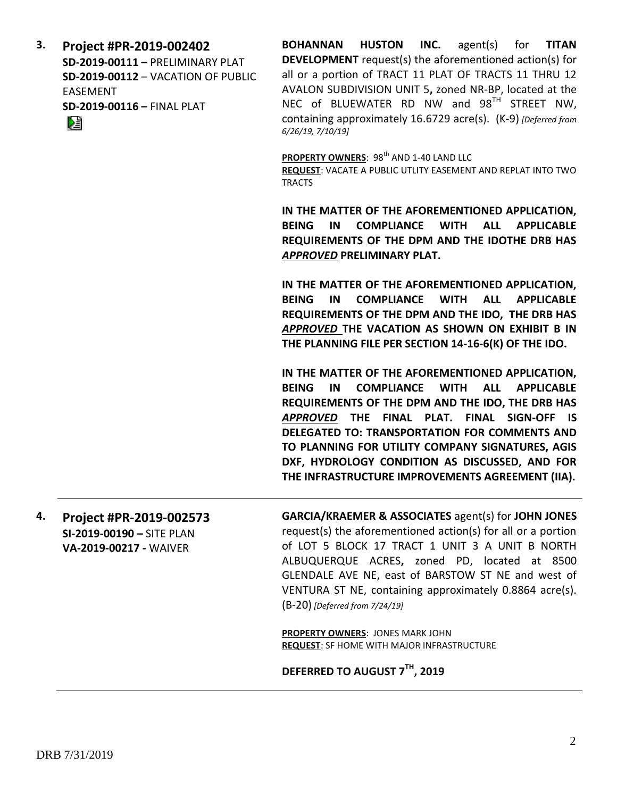**3. Project #PR-2019-002402 SD-2019-00111 –** PRELIMINARY PLAT **SD-2019-00112** – VACATION OF PUBLIC EASEMENT **SD-2019-00116 –** FINAL PLAT 阻

**BOHANNAN HUSTON INC.** agent(s) for **TITAN DEVELOPMENT** request(s) the aforementioned action(s) for all or a portion of TRACT 11 PLAT OF TRACTS 11 THRU 12 AVALON SUBDIVISION UNIT 5**,** zoned NR-BP, located at the NEC of BLUEWATER RD NW and 98<sup>TH</sup> STREET NW, containing approximately 16.6729 acre(s). (K-9) *[Deferred from 6/26/19, 7/10/19]*

**PROPERTY OWNERS: 98<sup>th</sup> AND 1-40 LAND LLC** 

**REQUEST**: VACATE A PUBLIC UTLITY EASEMENT AND REPLAT INTO TWO TRACTS

**IN THE MATTER OF THE AFOREMENTIONED APPLICATION, BEING IN COMPLIANCE WITH ALL APPLICABLE REQUIREMENTS OF THE DPM AND THE IDOTHE DRB HAS**  *APPROVED* **PRELIMINARY PLAT.**

**IN THE MATTER OF THE AFOREMENTIONED APPLICATION, BEING IN COMPLIANCE WITH ALL APPLICABLE REQUIREMENTS OF THE DPM AND THE IDO, THE DRB HAS**  *APPROVED* **THE VACATION AS SHOWN ON EXHIBIT B IN THE PLANNING FILE PER SECTION 14-16-6(K) OF THE IDO.**

**IN THE MATTER OF THE AFOREMENTIONED APPLICATION, BEING IN COMPLIANCE WITH ALL APPLICABLE REQUIREMENTS OF THE DPM AND THE IDO, THE DRB HAS**  *APPROVED* **THE FINAL PLAT. FINAL SIGN-OFF IS DELEGATED TO: TRANSPORTATION FOR COMMENTS AND TO PLANNING FOR UTILITY COMPANY SIGNATURES, AGIS DXF, HYDROLOGY CONDITION AS DISCUSSED, AND FOR THE INFRASTRUCTURE IMPROVEMENTS AGREEMENT (IIA).**

**4. Project #PR-2019-002573 SI-2019-00190 –** SITE PLAN **VA-2019-00217 -** WAIVER

**GARCIA/KRAEMER & ASSOCIATES** agent(s) for **JOHN JONES** request(s) the aforementioned action(s) for all or a portion of LOT 5 BLOCK 17 TRACT 1 UNIT 3 A UNIT B NORTH ALBUQUERQUE ACRES**,** zoned PD, located at 8500 GLENDALE AVE NE, east of BARSTOW ST NE and west of VENTURA ST NE, containing approximately 0.8864 acre(s). (B-20) *[Deferred from 7/24/19]*

**PROPERTY OWNERS**: JONES MARK JOHN **REQUEST**: SF HOME WITH MAJOR INFRASTRUCTURE

**DEFERRED TO AUGUST 7TH, 2019**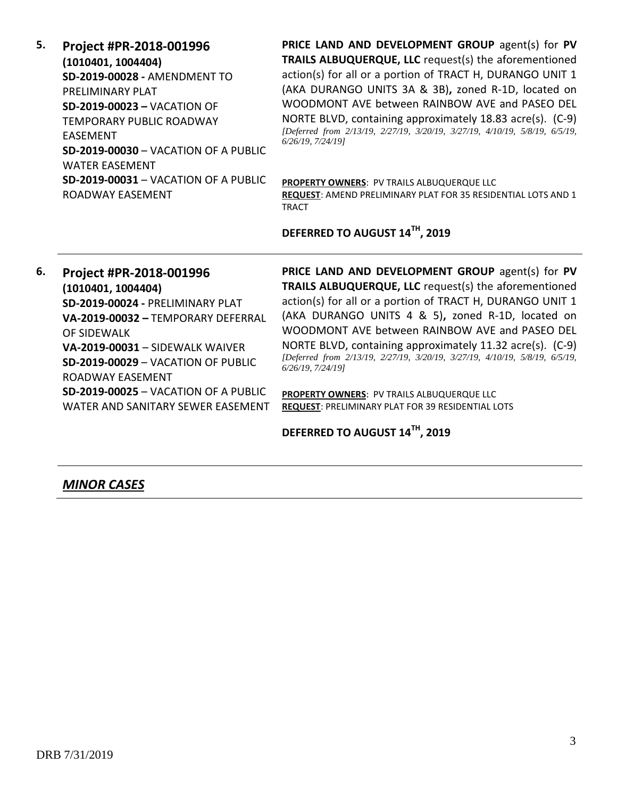**5. Project #PR-2018-001996 (1010401, 1004404) SD-2019-00028 -** AMENDMENT TO PRELIMINARY PLAT **SD-2019-00023 –** VACATION OF TEMPORARY PUBLIC ROADWAY EASEMENT **SD-2019-00030** – VACATION OF A PUBLIC WATER EASEMENT **SD-2019-00031** – VACATION OF A PUBLIC ROADWAY EASEMENT

**PRICE LAND AND DEVELOPMENT GROUP** agent(s) for **PV TRAILS ALBUQUERQUE, LLC** request(s) the aforementioned action(s) for all or a portion of TRACT H, DURANGO UNIT 1 (AKA DURANGO UNITS 3A & 3B)**,** zoned R-1D, located on WOODMONT AVE between RAINBOW AVE and PASEO DEL NORTE BLVD, containing approximately 18.83 acre(s). (C-9) *[Deferred from 2/13/19, 2/27/19, 3/20/19, 3/27/19, 4/10/19, 5/8/19, 6/5/19, 6/26/19, 7/24/19]*

**PROPERTY OWNERS**: PV TRAILS ALBUQUERQUE LLC **REQUEST**: AMEND PRELIMINARY PLAT FOR 35 RESIDENTIAL LOTS AND 1 TRACT

**DEFERRED TO AUGUST 14TH, 2019**

**6. Project #PR-2018-001996 (1010401, 1004404) SD-2019-00024 -** PRELIMINARY PLAT **VA-2019-00032 –** TEMPORARY DEFERRAL OF SIDEWALK **VA-2019-00031** – SIDEWALK WAIVER **SD-2019-00029** – VACATION OF PUBLIC ROADWAY EASEMENT **SD-2019-00025** – VACATION OF A PUBLIC WATER AND SANITARY SEWER EASEMENT **PRICE LAND AND DEVELOPMENT GROUP** agent(s) for **PV TRAILS ALBUQUERQUE, LLC** request(s) the aforementioned action(s) for all or a portion of TRACT H, DURANGO UNIT 1 (AKA DURANGO UNITS 4 & 5)**,** zoned R-1D, located on WOODMONT AVE between RAINBOW AVE and PASEO DEL NORTE BLVD, containing approximately 11.32 acre(s). (C-9) *[Deferred from 2/13/19, 2/27/19, 3/20/19, 3/27/19, 4/10/19, 5/8/19, 6/5/19, 6/26/19, 7/24/19]*

**PROPERTY OWNERS**: PV TRAILS ALBUQUERQUE LLC **REQUEST**: PRELIMINARY PLAT FOR 39 RESIDENTIAL LOTS

**DEFERRED TO AUGUST 14TH, 2019**

#### *MINOR CASES*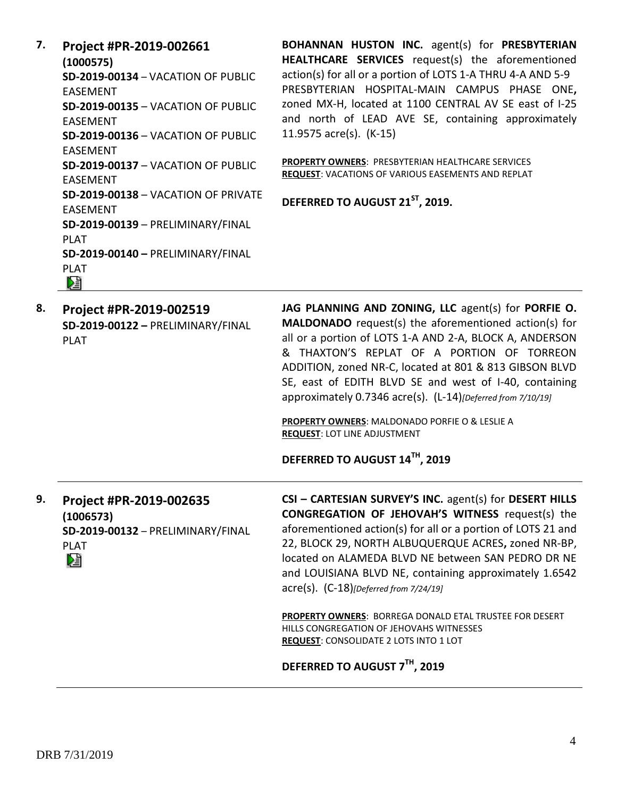**7. Project #PR-2019-002661 (1000575) SD-2019-00134** – VACATION OF PUBLIC EASEMENT **SD-2019-00135** – VACATION OF PUBLIC EASEMENT **SD-2019-00136** – VACATION OF PUBLIC EASEMENT **SD-2019-00137** – VACATION OF PUBLIC EASEMENT **SD-2019-00138** – VACATION OF PRIVATE EASEMENT **SD-2019-00139** – PRELIMINARY/FINAL PLAT **SD-2019-00140 –** PRELIMINARY/FINAL PLAT D€  $\overline{\phantom{a}}$ 

**BOHANNAN HUSTON INC.** agent(s) for **PRESBYTERIAN HEALTHCARE SERVICES** request(s) the aforementioned action(s) for all or a portion of LOTS 1-A THRU 4-A AND 5-9 PRESBYTERIAN HOSPITAL-MAIN CAMPUS PHASE ONE**,**  zoned MX-H, located at 1100 CENTRAL AV SE east of I-25 and north of LEAD AVE SE, containing approximately 11.9575 acre(s). (K-15)

**PROPERTY OWNERS**: PRESBYTERIAN HEALTHCARE SERVICES **REQUEST**: VACATIONS OF VARIOUS EASEMENTS AND REPLAT

**DEFERRED TO AUGUST 21ST, 2019.**

**8. Project #PR-2019-002519 SD-2019-00122 –** PRELIMINARY/FINAL PLAT **JAG PLANNING AND ZONING, LLC** agent(s) for **PORFIE O. MALDONADO** request(s) the aforementioned action(s) for all or a portion of LOTS 1-A AND 2-A, BLOCK A, ANDERSON & THAXTON'S REPLAT OF A PORTION OF TORREON ADDITION, zoned NR-C, located at 801 & 813 GIBSON BLVD SE, east of EDITH BLVD SE and west of I-40, containing approximately 0.7346 acre(s). (L-14)*[Deferred from 7/10/19]*

**PROPERTY OWNERS**: MALDONADO PORFIE O & LESLIE A **REQUEST**: LOT LINE ADJUSTMENT

**DEFERRED TO AUGUST 14TH, 2019**

**9. Project #PR-2019-002635 (1006573) SD-2019-00132** – PRELIMINARY/FINAL PLAT D.

**CSI – CARTESIAN SURVEY'S INC.** agent(s) for **DESERT HILLS CONGREGATION OF JEHOVAH'S WITNESS** request(s) the aforementioned action(s) for all or a portion of LOTS 21 and 22, BLOCK 29, NORTH ALBUQUERQUE ACRES**,** zoned NR-BP, located on ALAMEDA BLVD NE between SAN PEDRO DR NE and LOUISIANA BLVD NE, containing approximately 1.6542 acre(s). (C-18)*[Deferred from 7/24/19]*

**PROPERTY OWNERS**: BORREGA DONALD ETAL TRUSTEE FOR DESERT HILLS CONGREGATION OF JEHOVAHS WITNESSES **REQUEST**: CONSOLIDATE 2 LOTS INTO 1 LOT

**DEFERRED TO AUGUST 7TH, 2019**